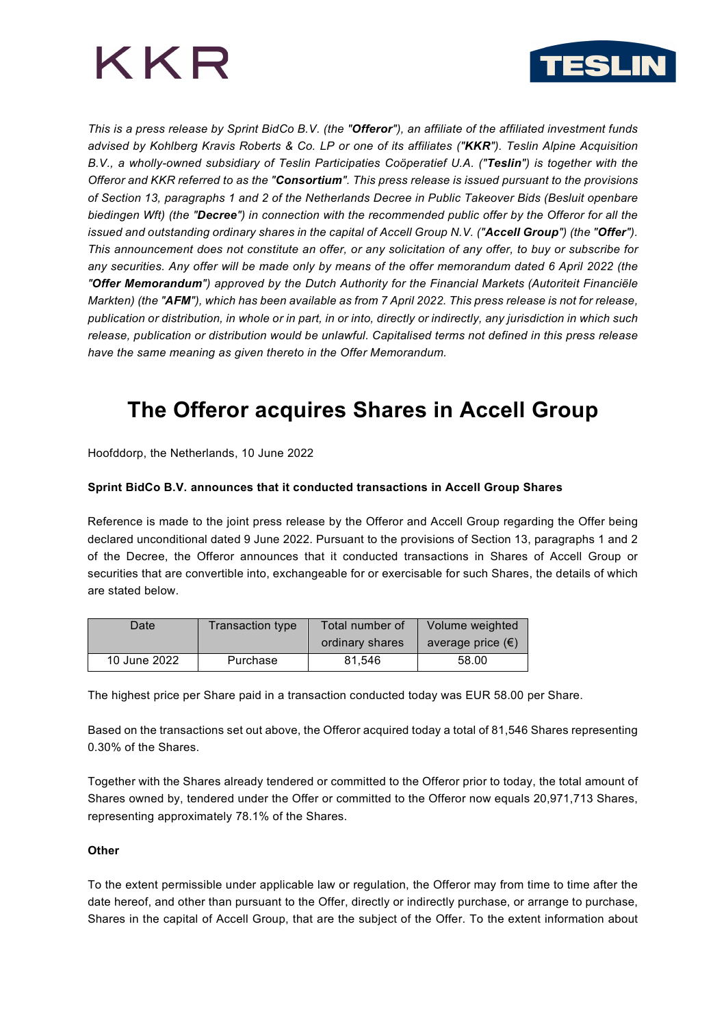



*This is a press release by Sprint BidCo B.V. (the "Offeror"), an affiliate of the affiliated investment funds advised by Kohlberg Kravis Roberts & Co. LP or one of its affiliates ("KKR"). Teslin Alpine Acquisition B.V., a wholly-owned subsidiary of Teslin Participaties Coöperatief U.A. ("Teslin") is together with the Offeror and KKR referred to as the "Consortium". This press release is issued pursuant to the provisions of Section 13, paragraphs 1 and 2 of the Netherlands Decree in Public Takeover Bids (Besluit openbare biedingen Wft) (the "Decree") in connection with the recommended public offer by the Offeror for all the issued and outstanding ordinary shares in the capital of Accell Group N.V. ("Accell Group") (the "Offer"). This announcement does not constitute an offer, or any solicitation of any offer, to buy or subscribe for any securities. Any offer will be made only by means of the offer memorandum dated 6 April 2022 (the "Offer Memorandum") approved by the Dutch Authority for the Financial Markets (Autoriteit Financiële Markten) (the "AFM"), which has been available as from 7 April 2022. This press release is not for release, publication or distribution, in whole or in part, in or into, directly or indirectly, any jurisdiction in which such release, publication or distribution would be unlawful. Capitalised terms not defined in this press release have the same meaning as given thereto in the Offer Memorandum.*

# **The Offeror acquires Shares in Accell Group**

Hoofddorp, the Netherlands, 10 June 2022

## **Sprint BidCo B.V. announces that it conducted transactions in Accell Group Shares**

Reference is made to the joint press release by the Offeror and Accell Group regarding the Offer being declared unconditional dated 9 June 2022. Pursuant to the provisions of Section 13, paragraphs 1 and 2 of the Decree, the Offeror announces that it conducted transactions in Shares of Accell Group or securities that are convertible into, exchangeable for or exercisable for such Shares, the details of which are stated below.

| Date         | Transaction type | Total number of | Volume weighted            |
|--------------|------------------|-----------------|----------------------------|
|              |                  | ordinary shares | average price $(\epsilon)$ |
| 10 June 2022 | Purchase         | 81.546          | 58.00                      |

The highest price per Share paid in a transaction conducted today was EUR 58.00 per Share.

Based on the transactions set out above, the Offeror acquired today a total of 81,546 Shares representing 0.30% of the Shares.

Together with the Shares already tendered or committed to the Offeror prior to today, the total amount of Shares owned by, tendered under the Offer or committed to the Offeror now equals 20,971,713 Shares, representing approximately 78.1% of the Shares.

### **Other**

To the extent permissible under applicable law or regulation, the Offeror may from time to time after the date hereof, and other than pursuant to the Offer, directly or indirectly purchase, or arrange to purchase, Shares in the capital of Accell Group, that are the subject of the Offer. To the extent information about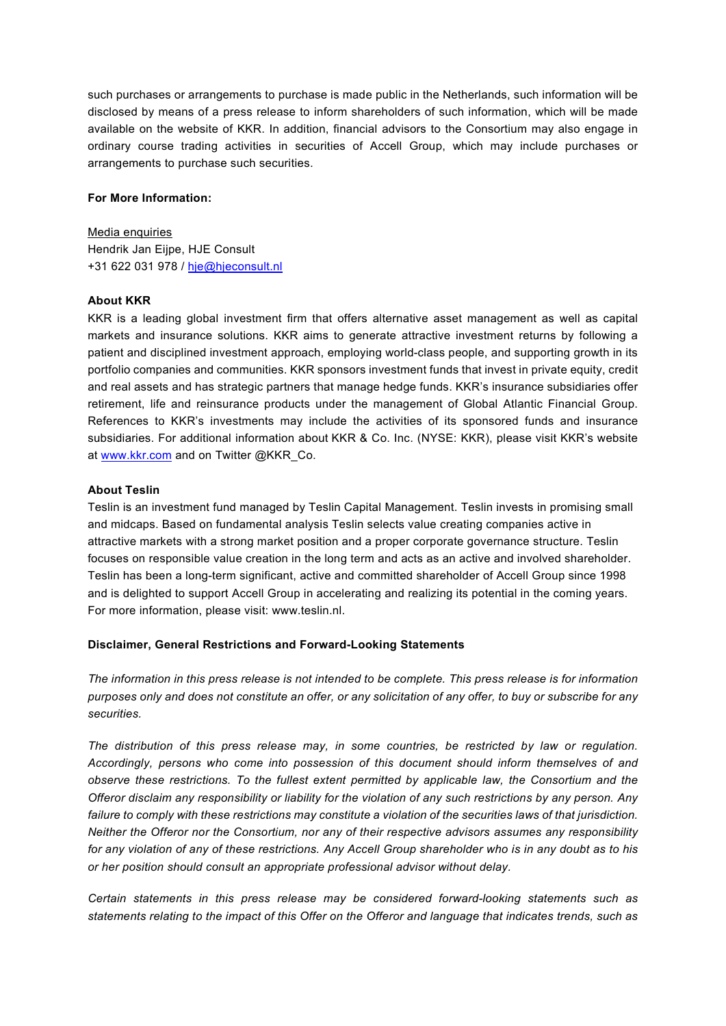such purchases or arrangements to purchase is made public in the Netherlands, such information will be disclosed by means of a press release to inform shareholders of such information, which will be made available on the website of KKR. In addition, financial advisors to the Consortium may also engage in ordinary course trading activities in securities of Accell Group, which may include purchases or arrangements to purchase such securities.

### **For More Information:**

Media enquiries Hendrik Jan Eijpe, HJE Consult +31 622 031 978 / [hje@hjeconsult.nl](mailto:hje@hjeconsult.nl)

### **About KKR**

KKR is a leading global investment firm that offers alternative asset management as well as capital markets and insurance solutions. KKR aims to generate attractive investment returns by following a patient and disciplined investment approach, employing world-class people, and supporting growth in its portfolio companies and communities. KKR sponsors investment funds that invest in private equity, credit and real assets and has strategic partners that manage hedge funds. KKR's insurance subsidiaries offer retirement, life and reinsurance products under the management of Global Atlantic Financial Group. References to KKR's investments may include the activities of its sponsored funds and insurance subsidiaries. For additional information about KKR & Co. Inc. (NYSE: KKR), please visit KKR's website at [www.kkr.com](https://cts.businesswire.com/ct/CT?id=smartlink&url=http%3A%2F%2Fwww.kkr.com&esheet=52556806&newsitemid=20220103005354&lan=en-US&anchor=www.kkr.com&index=1&md5=f2801c6375742f0f9aa380c73a980104) and on Twitter @KKR\_Co.

### **About Teslin**

Teslin is an investment fund managed by Teslin Capital Management. Teslin invests in promising small and midcaps. Based on fundamental analysis Teslin selects value creating companies active in attractive markets with a strong market position and a proper corporate governance structure. Teslin focuses on responsible value creation in the long term and acts as an active and involved shareholder. Teslin has been a long-term significant, active and committed shareholder of Accell Group since 1998 and is delighted to support Accell Group in accelerating and realizing its potential in the coming years. For more information, please visit: www.teslin.nl.

### **Disclaimer, General Restrictions and Forward-Looking Statements**

*The information in this press release is not intended to be complete. This press release is for information purposes only and does not constitute an offer, or any solicitation of any offer, to buy or subscribe for any securities.* 

*The distribution of this press release may, in some countries, be restricted by law or regulation. Accordingly, persons who come into possession of this document should inform themselves of and observe these restrictions. To the fullest extent permitted by applicable law, the Consortium and the Offeror disclaim any responsibility or liability for the violation of any such restrictions by any person. Any failure to comply with these restrictions may constitute a violation of the securities laws of that jurisdiction. Neither the Offeror nor the Consortium, nor any of their respective advisors assumes any responsibility for any violation of any of these restrictions. Any Accell Group shareholder who is in any doubt as to his or her position should consult an appropriate professional advisor without delay.* 

*Certain statements in this press release may be considered forward-looking statements such as statements relating to the impact of this Offer on the Offeror and language that indicates trends, such as*